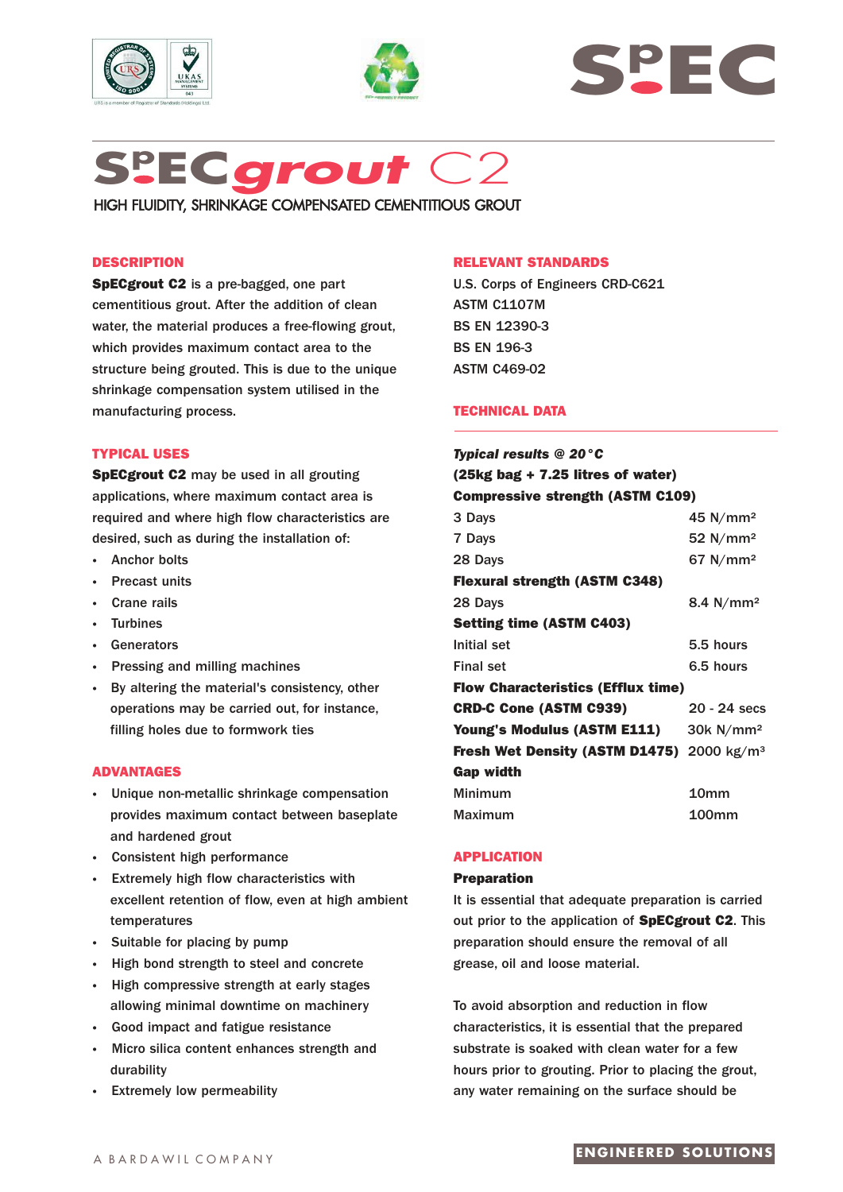







HIGH FLUIDITY, SHRINKAGE COMPENSATED CEMENTITIOUS GROUT

### **DESCRIPTION**

**SpECgrout C2** is a pre-bagged, one part cementitious grout. After the addition of clean water, the material produces a free-flowing grout, which provides maximum contact area to the structure being grouted. This is due to the unique shrinkage compensation system utilised in the manufacturing process.

### **TYPICAL USES**

**SpECgrout C2** may be used in all grouting applications, where maximum contact area is required and where high flow characteristics are desired, such as during the installation of:

- **·** Anchor bolts
- **·** Precast units
- **·** Crane rails
- **·** Turbines
- **·** Generators
- **Pressing and milling machines**
- **·** By altering the material's consistency, other operations may be carried out, for instance, filling holes due to formwork ties

### **ADVANTAGES**

- **·** Unique non-metallic shrinkage compensation provides maximum contact between baseplate and hardened grout
- **·** Consistent high performance
- **·** Extremely high flow characteristics with excellent retention of flow, even at high ambient temperatures
- **·** Suitable for placing by pump
- **·** High bond strength to steel and concrete
- **·** High compressive strength at early stages allowing minimal downtime on machinery
- **·** Good impact and fatigue resistance
- **·** Micro silica content enhances strength and durability
- **·** Extremely low permeability

#### **RELEVANT STANDARDS**

U.S. Corps of Engineers CRD-C621 ASTM C1107M BS EN 12390-3 BS EN 196-3 ASTM C469-02

### **TECHNICAL DATA**

| <b>Typical results @ 20 °C</b>                        |                         |
|-------------------------------------------------------|-------------------------|
| $(25 \text{kg}$ bag + 7.25 litres of water)           |                         |
| <b>Compressive strength (ASTM C109)</b>               |                         |
| 3 Days                                                | 45 $N/mm2$              |
| 7 Days                                                | 52 $N/mm2$              |
| 28 Days                                               | 67 N/mm <sup>2</sup>    |
| <b>Flexural strength (ASTM C348)</b>                  |                         |
| 28 Days                                               | 8.4 $N/mm^2$            |
| <b>Setting time (ASTM C403)</b>                       |                         |
| Initial set                                           | 5.5 hours               |
| <b>Final set</b>                                      | 6.5 hours               |
| <b>Flow Characteristics (Efflux time)</b>             |                         |
| <b>CRD-C Cone (ASTM C939)</b>                         | $20 - 24$ secs          |
| <b>Young's Modulus (ASTM E111)</b>                    | $30k$ N/mm <sup>2</sup> |
| Fresh Wet Density (ASTM D1475) 2000 kg/m <sup>3</sup> |                         |
| <b>Gap width</b>                                      |                         |
| <b>Minimum</b>                                        | 10 <sub>mm</sub>        |
| Maximum                                               | 100 <sub>mm</sub>       |

#### **APPLICATION**

#### **Preparation**

It is essential that adequate preparation is carried out prior to the application of **SpECgrout C2**. This preparation should ensure the removal of all grease, oil and loose material.

To avoid absorption and reduction in flow characteristics, it is essential that the prepared substrate is soaked with clean water for a few hours prior to grouting. Prior to placing the grout, any water remaining on the surface should be

# **ENGINEERED SOLUTIONS**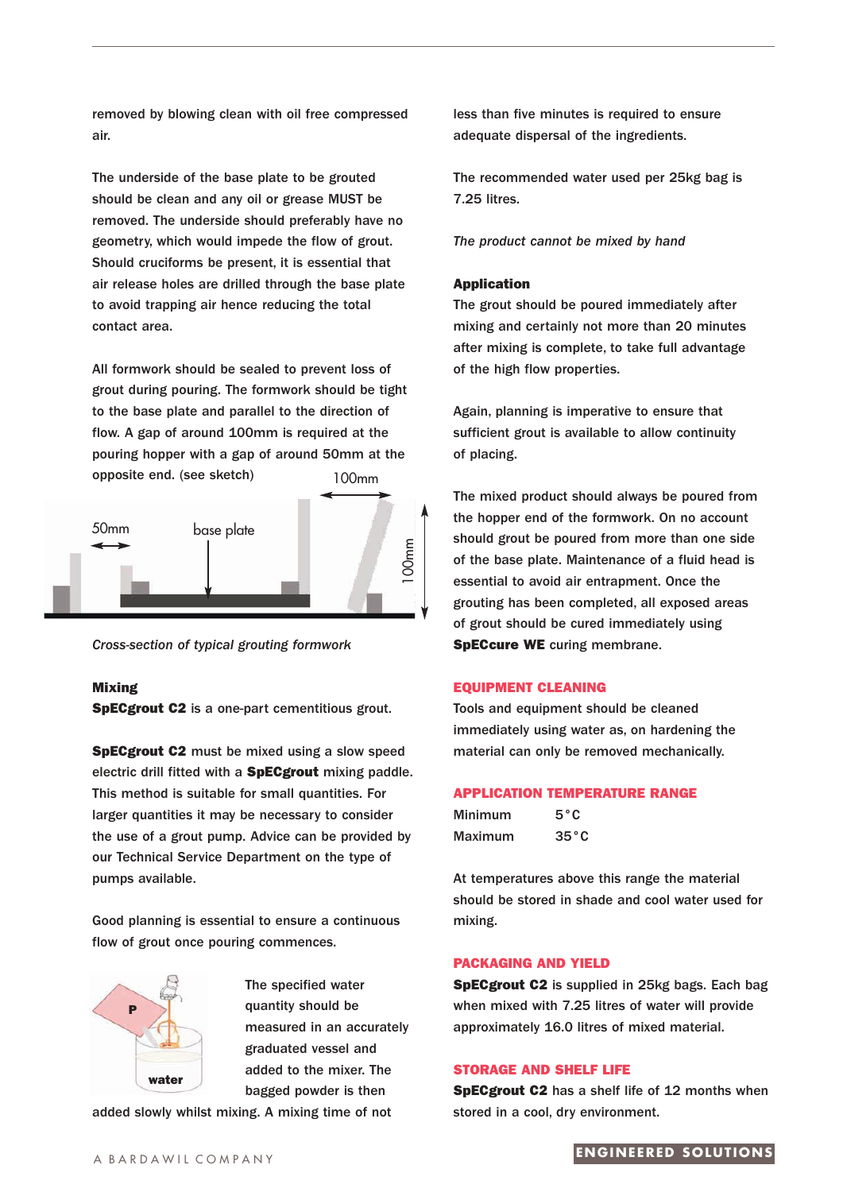removed by blowing clean with oil free compressed air.

The underside of the base plate to be grouted should be clean and any oil or grease MUST be removed. The underside should preferably have no geometry, which would impede the flow of grout. Should cruciforms be present, it is essential that air release holes are drilled through the base plate to avoid trapping air hence reducing the total contact area.

All formwork should be sealed to prevent loss of grout during pouring. The formwork should be tight to the base plate and parallel to the direction of flow. A gap of around 100mm is required at the pouring hopper with a gap of around 50mm at the opposite end. (see sketch) 100mm



*Cross-section of typical grouting formwork*

# **Mixing**

**SpECgrout C2** is a one-part cementitious grout.

**SpECgrout C2** must be mixed using a slow speed electric drill fitted with a **SpECgrout** mixing paddle. This method is suitable for small quantities. For larger quantities it may be necessary to consider the use of a grout pump. Advice can be provided by our Technical Service Department on the type of pumps available.

Good planning is essential to ensure a continuous flow of grout once pouring commences.



The specified water quantity should be measured in an accurately graduated vessel and added to the mixer. The bagged powder is then

added slowly whilst mixing. A mixing time of not

less than five minutes is required to ensure adequate dispersal of the ingredients.

The recommended water used per 25kg bag is 7.25 litres.

*The product cannot be mixed by hand*

#### **Application**

The grout should be poured immediately after mixing and certainly not more than 20 minutes after mixing is complete, to take full advantage of the high flow properties.

Again, planning is imperative to ensure that sufficient grout is available to allow continuity of placing.

The mixed product should always be poured from the hopper end of the formwork. On no account should grout be poured from more than one side of the base plate. Maintenance of a fluid head is essential to avoid air entrapment. Once the grouting has been completed, all exposed areas of grout should be cured immediately using **SpECcure WE** curing membrane.

#### **EQUIPMENT CLEANING**

Tools and equipment should be cleaned immediately using water as, on hardening the material can only be removed mechanically.

#### **APPLICATION TEMPERATURE RANGE**

| Minimum | $5^{\circ}$ C  |
|---------|----------------|
| Maximum | $35^{\circ}$ C |

At temperatures above this range the material should be stored in shade and cool water used for mixing.

#### **PACKAGING AND YIELD**

**SpECgrout C2** is supplied in 25kg bags. Each bag when mixed with 7.25 litres of water will provide approximately 16.0 litres of mixed material.

### **STORAGE AND SHELF LIFE**

**SpECgrout C2** has a shelf life of 12 months when stored in a cool, dry environment.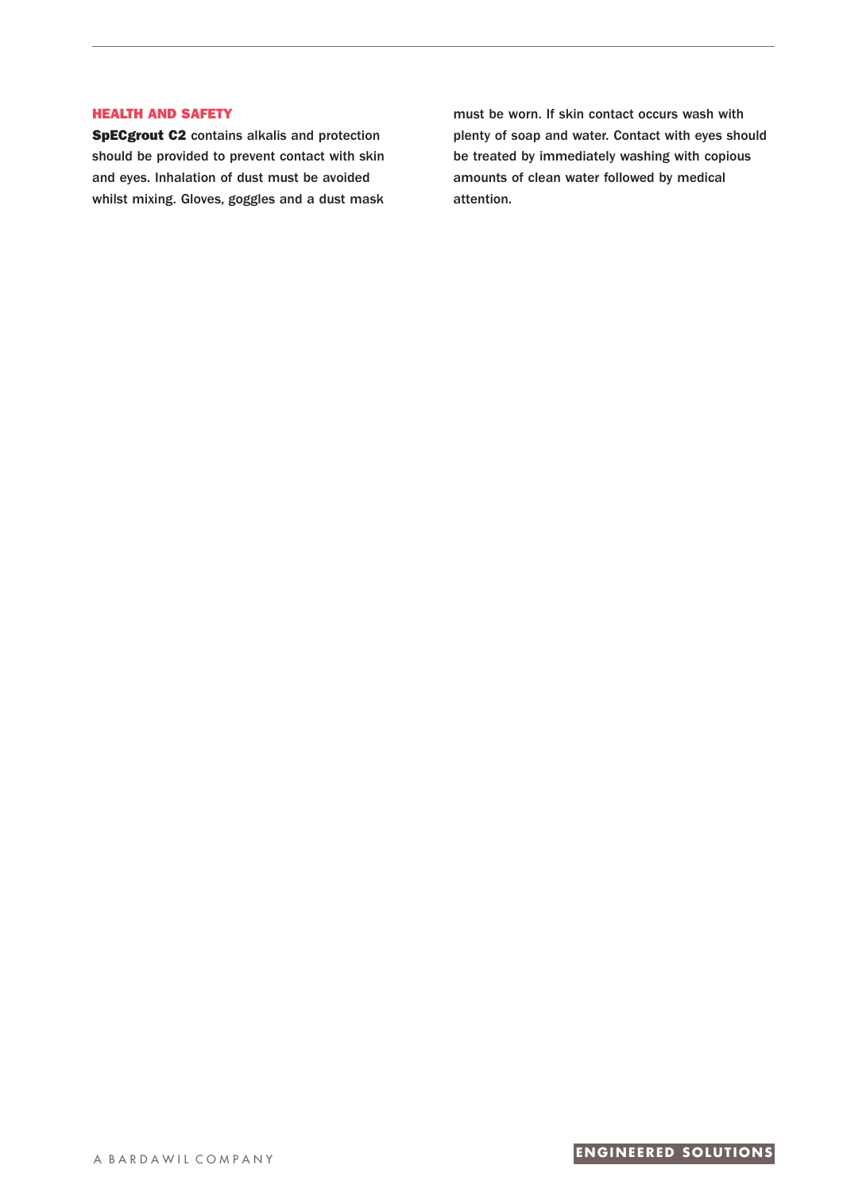# **HEALTH AND SAFETY**

**SpECgrout C2** contains alkalis and protection should be provided to prevent contact with skin and eyes. Inhalation of dust must be avoided whilst mixing. Gloves, goggles and a dust mask

must be worn. If skin contact occurs wash with plenty of soap and water. Contact with eyes should be treated by immediately washing with copious amounts of clean water followed by medical attention.